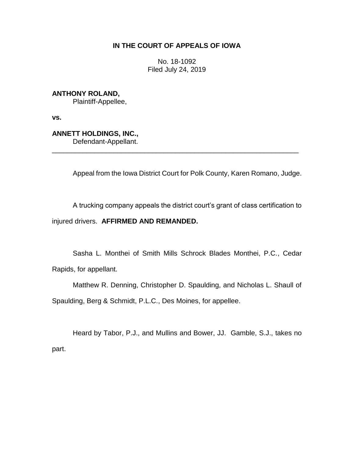# **IN THE COURT OF APPEALS OF IOWA**

No. 18-1092 Filed July 24, 2019

**ANTHONY ROLAND,** Plaintiff-Appellee,

**vs.**

**ANNETT HOLDINGS, INC.,** Defendant-Appellant.

\_\_\_\_\_\_\_\_\_\_\_\_\_\_\_\_\_\_\_\_\_\_\_\_\_\_\_\_\_\_\_\_\_\_\_\_\_\_\_\_\_\_\_\_\_\_\_\_\_\_\_\_\_\_\_\_\_\_\_\_\_\_\_\_

Appeal from the Iowa District Court for Polk County, Karen Romano, Judge.

A trucking company appeals the district court's grant of class certification to injured drivers. **AFFIRMED AND REMANDED.**

Sasha L. Monthei of Smith Mills Schrock Blades Monthei, P.C., Cedar Rapids, for appellant.

Matthew R. Denning, Christopher D. Spaulding, and Nicholas L. Shaull of Spaulding, Berg & Schmidt, P.L.C., Des Moines, for appellee.

Heard by Tabor, P.J., and Mullins and Bower, JJ. Gamble, S.J., takes no part.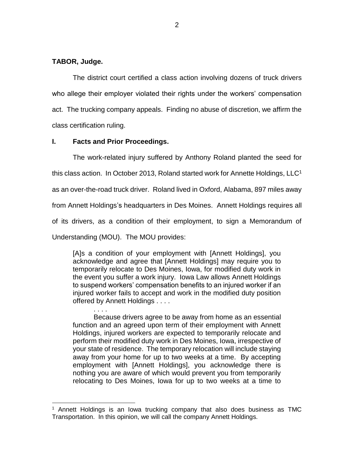## **TABOR, Judge.**

The district court certified a class action involving dozens of truck drivers who allege their employer violated their rights under the workers' compensation act. The trucking company appeals. Finding no abuse of discretion, we affirm the class certification ruling.

## **I. Facts and Prior Proceedings.**

. . . .

 $\overline{a}$ 

The work-related injury suffered by Anthony Roland planted the seed for this class action. In October 2013, Roland started work for Annette Holdings,  $LLC<sup>1</sup>$ as an over-the-road truck driver. Roland lived in Oxford, Alabama, 897 miles away from Annett Holdings's headquarters in Des Moines. Annett Holdings requires all of its drivers, as a condition of their employment, to sign a Memorandum of Understanding (MOU). The MOU provides:

[A]s a condition of your employment with [Annett Holdings], you acknowledge and agree that [Annett Holdings] may require you to temporarily relocate to Des Moines, Iowa, for modified duty work in the event you suffer a work injury. Iowa Law allows Annett Holdings to suspend workers' compensation benefits to an injured worker if an injured worker fails to accept and work in the modified duty position offered by Annett Holdings . . . .

Because drivers agree to be away from home as an essential function and an agreed upon term of their employment with Annett Holdings, injured workers are expected to temporarily relocate and perform their modified duty work in Des Moines, Iowa, irrespective of your state of residence. The temporary relocation will include staying away from your home for up to two weeks at a time. By accepting employment with [Annett Holdings], you acknowledge there is nothing you are aware of which would prevent you from temporarily relocating to Des Moines, Iowa for up to two weeks at a time to

<sup>1</sup> Annett Holdings is an Iowa trucking company that also does business as TMC Transportation. In this opinion, we will call the company Annett Holdings.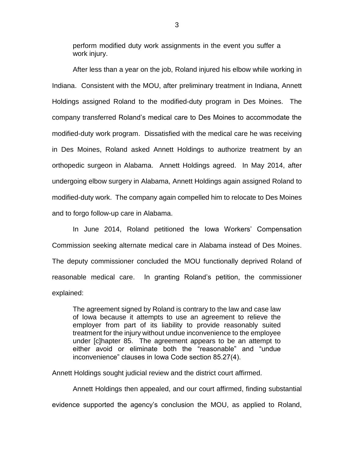perform modified duty work assignments in the event you suffer a work injury.

After less than a year on the job, Roland injured his elbow while working in Indiana. Consistent with the MOU, after preliminary treatment in Indiana, Annett Holdings assigned Roland to the modified-duty program in Des Moines. The company transferred Roland's medical care to Des Moines to accommodate the modified-duty work program. Dissatisfied with the medical care he was receiving in Des Moines, Roland asked Annett Holdings to authorize treatment by an orthopedic surgeon in Alabama. Annett Holdings agreed. In May 2014, after undergoing elbow surgery in Alabama, Annett Holdings again assigned Roland to modified-duty work. The company again compelled him to relocate to Des Moines and to forgo follow-up care in Alabama.

In June 2014, Roland petitioned the Iowa Workers' Compensation Commission seeking alternate medical care in Alabama instead of Des Moines. The deputy commissioner concluded the MOU functionally deprived Roland of reasonable medical care. In granting Roland's petition, the commissioner explained:

The agreement signed by Roland is contrary to the law and case law of Iowa because it attempts to use an agreement to relieve the employer from part of its liability to provide reasonably suited treatment for the injury without undue inconvenience to the employee under [c]hapter 85. The agreement appears to be an attempt to either avoid or eliminate both the "reasonable" and "undue inconvenience" clauses in Iowa Code section 85.27(4).

Annett Holdings sought judicial review and the district court affirmed.

Annett Holdings then appealed, and our court affirmed, finding substantial evidence supported the agency's conclusion the MOU, as applied to Roland,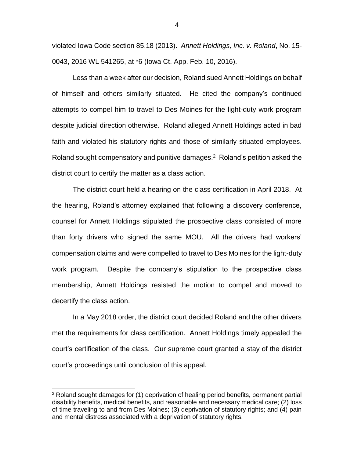violated Iowa Code section 85.18 (2013). *Annett Holdings, Inc. v. Roland*, No. 15- 0043, 2016 WL 541265, at \*6 (Iowa Ct. App. Feb. 10, 2016).

Less than a week after our decision, Roland sued Annett Holdings on behalf of himself and others similarly situated. He cited the company's continued attempts to compel him to travel to Des Moines for the light-duty work program despite judicial direction otherwise. Roland alleged Annett Holdings acted in bad faith and violated his statutory rights and those of similarly situated employees. Roland sought compensatory and punitive damages. <sup>2</sup> Roland's petition asked the district court to certify the matter as a class action.

The district court held a hearing on the class certification in April 2018. At the hearing, Roland's attorney explained that following a discovery conference, counsel for Annett Holdings stipulated the prospective class consisted of more than forty drivers who signed the same MOU. All the drivers had workers' compensation claims and were compelled to travel to Des Moines for the light-duty work program. Despite the company's stipulation to the prospective class membership, Annett Holdings resisted the motion to compel and moved to decertify the class action.

In a May 2018 order, the district court decided Roland and the other drivers met the requirements for class certification. Annett Holdings timely appealed the court's certification of the class. Our supreme court granted a stay of the district court's proceedings until conclusion of this appeal.

 $\overline{a}$ 

 $2$  Roland sought damages for (1) deprivation of healing period benefits, permanent partial disability benefits, medical benefits, and reasonable and necessary medical care; (2) loss of time traveling to and from Des Moines; (3) deprivation of statutory rights; and (4) pain and mental distress associated with a deprivation of statutory rights.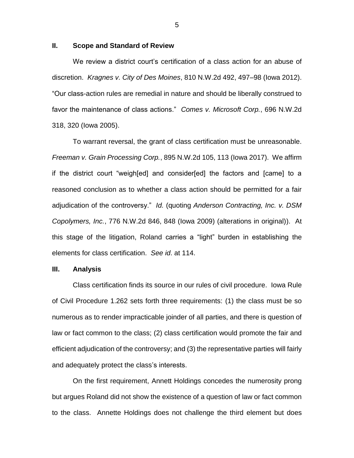### **II. Scope and Standard of Review**

We review a district court's certification of a class action for an abuse of discretion. *Kragnes v. City of Des Moines*, 810 N.W.2d 492, 497–98 (Iowa 2012). "Our class-action rules are remedial in nature and should be liberally construed to favor the maintenance of class actions." *Comes v. Microsoft Corp.*, 696 N.W.2d 318, 320 (Iowa 2005).

To warrant reversal, the grant of class certification must be unreasonable. *Freeman v. Grain Processing Corp.*, 895 N.W.2d 105, 113 (Iowa 2017). We affirm if the district court "weigh[ed] and consider[ed] the factors and [came] to a reasoned conclusion as to whether a class action should be permitted for a fair adjudication of the controversy." *Id.* (quoting *Anderson Contracting, Inc. v. DSM Copolymers, Inc.*, 776 N.W.2d 846, 848 (Iowa 2009) (alterations in original)). At this stage of the litigation, Roland carries a "light" burden in establishing the elements for class certification. *See id*. at 114.

#### **III. Analysis**

Class certification finds its source in our rules of civil procedure. Iowa Rule of Civil Procedure 1.262 sets forth three requirements: (1) the class must be so numerous as to render impracticable joinder of all parties, and there is question of law or fact common to the class; (2) class certification would promote the fair and efficient adjudication of the controversy; and (3) the representative parties will fairly and adequately protect the class's interests.

On the first requirement, Annett Holdings concedes the numerosity prong but argues Roland did not show the existence of a question of law or fact common to the class. Annette Holdings does not challenge the third element but does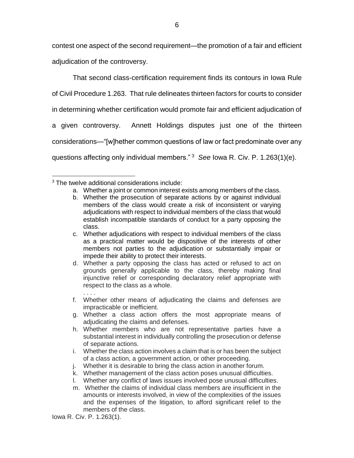contest one aspect of the second requirement—the promotion of a fair and efficient adjudication of the controversy.

That second class-certification requirement finds its contours in Iowa Rule of Civil Procedure 1.263. That rule delineates thirteen factors for courts to consider in determining whether certification would promote fair and efficient adjudication of a given controversy. Annett Holdings disputes just one of the thirteen considerations—"[w]hether common questions of law or fact predominate over any questions affecting only individual members." <sup>3</sup> *See* Iowa R. Civ. P. 1.263(1)(e).

- a. Whether a joint or common interest exists among members of the class.
- b. Whether the prosecution of separate actions by or against individual members of the class would create a risk of inconsistent or varying adjudications with respect to individual members of the class that would establish incompatible standards of conduct for a party opposing the class.
- c. Whether adjudications with respect to individual members of the class as a practical matter would be dispositive of the interests of other members not parties to the adjudication or substantially impair or impede their ability to protect their interests.
- d. Whether a party opposing the class has acted or refused to act on grounds generally applicable to the class, thereby making final injunctive relief or corresponding declaratory relief appropriate with respect to the class as a whole.
- . . . . f. Whether other means of adjudicating the claims and defenses are impracticable or inefficient.
- g. Whether a class action offers the most appropriate means of adjudicating the claims and defenses.
- h. Whether members who are not representative parties have a substantial interest in individually controlling the prosecution or defense of separate actions.
- i. Whether the class action involves a claim that is or has been the subject of a class action, a government action, or other proceeding.
- j. Whether it is desirable to bring the class action in another forum.
- k. Whether management of the class action poses unusual difficulties.
- l. Whether any conflict of laws issues involved pose unusual difficulties.
- m. Whether the claims of individual class members are insufficient in the amounts or interests involved, in view of the complexities of the issues and the expenses of the litigation, to afford significant relief to the members of the class.

 $\overline{a}$  $3$  The twelve additional considerations include:

Iowa R. Civ. P. 1.263(1).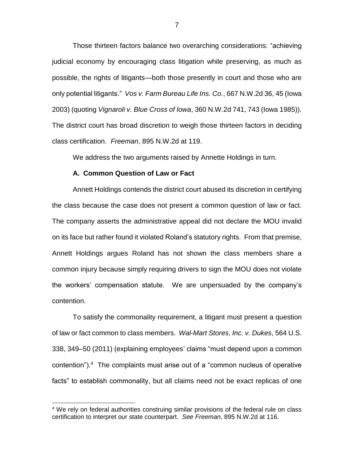Those thirteen factors balance two overarching considerations: "achieving judicial economy by encouraging class litigation while preserving, as much as possible, the rights of litigants—both those presently in court and those who are only potential litigants." *Vos v. Farm Bureau Life Ins. Co.*, 667 N.W.2d 36, 45 (Iowa 2003) (quoting *Vignaroli v. Blue Cross of Iowa*, 360 N.W.2d 741, 743 (Iowa 1985)). The district court has broad discretion to weigh those thirteen factors in deciding class certification. *Freeman*, 895 N.W.2d at 119.

We address the two arguments raised by Annette Holdings in turn.

#### **A. Common Question of Law or Fact**

Annett Holdings contends the district court abused its discretion in certifying the class because the case does not present a common question of law or fact. The company asserts the administrative appeal did not declare the MOU invalid on its face but rather found it violated Roland's statutory rights. From that premise, Annett Holdings argues Roland has not shown the class members share a common injury because simply requiring drivers to sign the MOU does not violate the workers' compensation statute. We are unpersuaded by the company's contention.

To satisfy the commonality requirement, a litigant must present a question of law or fact common to class members. *Wal-Mart Stores, Inc. v. Dukes*, 564 U.S. 338, 349–50 (2011) (explaining employees' claims "must depend upon a common contention"). 4 The complaints must arise out of a "common nucleus of operative facts" to establish commonality, but all claims need not be exact replicas of one

 $\overline{a}$ 

<sup>&</sup>lt;sup>4</sup> We rely on federal authorities construing similar provisions of the federal rule on class certification to interpret our state counterpart. *See Freeman*, 895 N.W.2d at 116.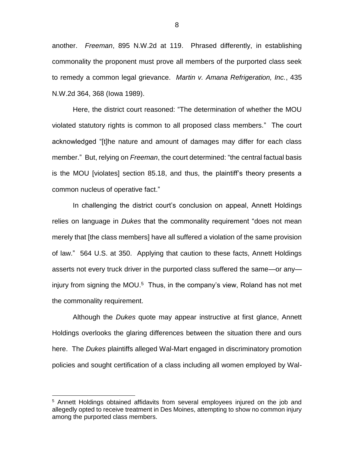another. *Freeman*, 895 N.W.2d at 119. Phrased differently, in establishing commonality the proponent must prove all members of the purported class seek to remedy a common legal grievance. *Martin v. Amana Refrigeration, Inc.*, 435 N.W.2d 364, 368 (Iowa 1989).

Here, the district court reasoned: "The determination of whether the MOU violated statutory rights is common to all proposed class members." The court acknowledged "[t]he nature and amount of damages may differ for each class member." But, relying on *Freeman*, the court determined: "the central factual basis is the MOU [violates] section 85.18, and thus, the plaintiff's theory presents a common nucleus of operative fact."

In challenging the district court's conclusion on appeal, Annett Holdings relies on language in *Dukes* that the commonality requirement "does not mean merely that [the class members] have all suffered a violation of the same provision of law." 564 U.S. at 350. Applying that caution to these facts, Annett Holdings asserts not every truck driver in the purported class suffered the same—or any injury from signing the MOU.<sup>5</sup> Thus, in the company's view, Roland has not met the commonality requirement.

Although the *Dukes* quote may appear instructive at first glance, Annett Holdings overlooks the glaring differences between the situation there and ours here. The *Dukes* plaintiffs alleged Wal-Mart engaged in discriminatory promotion policies and sought certification of a class including all women employed by Wal-

 $\overline{a}$ 

<sup>&</sup>lt;sup>5</sup> Annett Holdings obtained affidavits from several employees injured on the job and allegedly opted to receive treatment in Des Moines, attempting to show no common injury among the purported class members.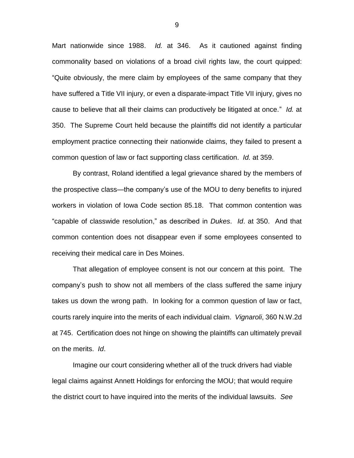Mart nationwide since 1988. *Id.* at 346. As it cautioned against finding commonality based on violations of a broad civil rights law, the court quipped: "Quite obviously, the mere claim by employees of the same company that they have suffered a Title VII injury, or even a disparate-impact Title VII injury, gives no cause to believe that all their claims can productively be litigated at once." *Id.* at 350. The Supreme Court held because the plaintiffs did not identify a particular employment practice connecting their nationwide claims, they failed to present a common question of law or fact supporting class certification. *Id.* at 359.

By contrast, Roland identified a legal grievance shared by the members of the prospective class—the company's use of the MOU to deny benefits to injured workers in violation of Iowa Code section 85.18. That common contention was "capable of classwide resolution," as described in *Dukes*. *Id*. at 350. And that common contention does not disappear even if some employees consented to receiving their medical care in Des Moines.

That allegation of employee consent is not our concern at this point. The company's push to show not all members of the class suffered the same injury takes us down the wrong path. In looking for a common question of law or fact, courts rarely inquire into the merits of each individual claim. *Vignaroli*, 360 N.W.2d at 745. Certification does not hinge on showing the plaintiffs can ultimately prevail on the merits. *Id*.

Imagine our court considering whether all of the truck drivers had viable legal claims against Annett Holdings for enforcing the MOU; that would require the district court to have inquired into the merits of the individual lawsuits. *See*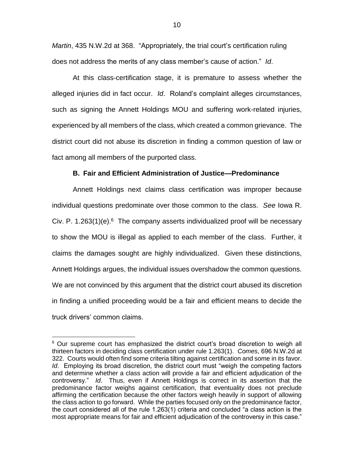*Martin*, 435 N.W.2d at 368. "Appropriately, the trial court's certification ruling does not address the merits of any class member's cause of action." *Id*.

At this class-certification stage, it is premature to assess whether the alleged injuries did in fact occur. *Id*. Roland's complaint alleges circumstances, such as signing the Annett Holdings MOU and suffering work-related injuries, experienced by all members of the class, which created a common grievance. The district court did not abuse its discretion in finding a common question of law or fact among all members of the purported class.

## **B. Fair and Efficient Administration of Justice—Predominance**

Annett Holdings next claims class certification was improper because individual questions predominate over those common to the class. *See* Iowa R. Civ. P. 1.263(1)(e). $6$  The company asserts individualized proof will be necessary to show the MOU is illegal as applied to each member of the class. Further, it claims the damages sought are highly individualized. Given these distinctions, Annett Holdings argues, the individual issues overshadow the common questions. We are not convinced by this argument that the district court abused its discretion in finding a unified proceeding would be a fair and efficient means to decide the truck drivers' common claims.

 $\overline{a}$ 

 $6$  Our supreme court has emphasized the district court's broad discretion to weigh all thirteen factors in deciding class certification under rule 1.263(1). *Comes*, 696 N.W.2d at 322. Courts would often find some criteria tilting against certification and some in its favor. *Id*. Employing its broad discretion, the district court must "weigh the competing factors and determine whether a class action will provide a fair and efficient adjudication of the controversy." *Id*. Thus, even if Annett Holdings is correct in its assertion that the predominance factor weighs against certification, that eventuality does not preclude affirming the certification because the other factors weigh heavily in support of allowing the class action to go forward. While the parties focused only on the predominance factor, the court considered all of the rule 1.263(1) criteria and concluded "a class action is the most appropriate means for fair and efficient adjudication of the controversy in this case."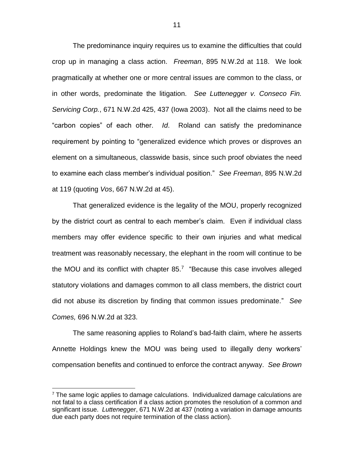The predominance inquiry requires us to examine the difficulties that could crop up in managing a class action. *Freeman*, 895 N.W.2d at 118. We look pragmatically at whether one or more central issues are common to the class, or in other words, predominate the litigation. *See Luttenegger v. Conseco Fin. Servicing Corp.*, 671 N.W.2d 425, 437 (Iowa 2003). Not all the claims need to be "carbon copies" of each other. *Id*. Roland can satisfy the predominance requirement by pointing to "generalized evidence which proves or disproves an element on a simultaneous, classwide basis, since such proof obviates the need to examine each class member's individual position." *See Freeman*, 895 N.W.2d at 119 (quoting *Vos*, 667 N.W.2d at 45).

That generalized evidence is the legality of the MOU, properly recognized by the district court as central to each member's claim. Even if individual class members may offer evidence specific to their own injuries and what medical treatment was reasonably necessary, the elephant in the room will continue to be the MOU and its conflict with chapter  $85.7$  "Because this case involves alleged statutory violations and damages common to all class members, the district court did not abuse its discretion by finding that common issues predominate." *See Comes,* 696 N.W.2d at 323.

The same reasoning applies to Roland's bad-faith claim, where he asserts Annette Holdings knew the MOU was being used to illegally deny workers' compensation benefits and continued to enforce the contract anyway. *See Brown* 

 $\overline{a}$ 

 $7$  The same logic applies to damage calculations. Individualized damage calculations are not fatal to a class certification if a class action promotes the resolution of a common and significant issue. *Luttenegger*, 671 N.W.2d at 437 (noting a variation in damage amounts due each party does not require termination of the class action).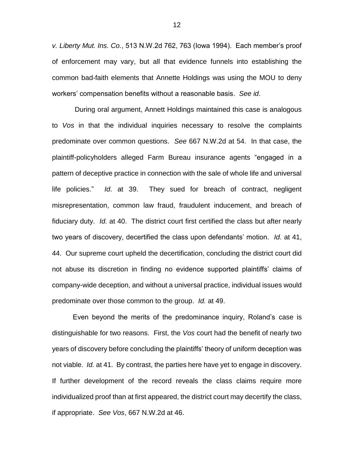*v. Liberty Mut. Ins. Co.*, 513 N.W.2d 762, 763 (Iowa 1994). Each member's proof of enforcement may vary, but all that evidence funnels into establishing the common bad-faith elements that Annette Holdings was using the MOU to deny workers' compensation benefits without a reasonable basis. *See id*.

During oral argument, Annett Holdings maintained this case is analogous to *Vos* in that the individual inquiries necessary to resolve the complaints predominate over common questions. *See* 667 N.W.2d at 54. In that case, the plaintiff-policyholders alleged Farm Bureau insurance agents "engaged in a pattern of deceptive practice in connection with the sale of whole life and universal life policies." *Id*. at 39. They sued for breach of contract, negligent misrepresentation, common law fraud, fraudulent inducement, and breach of fiduciary duty. *Id.* at 40. The district court first certified the class but after nearly two years of discovery, decertified the class upon defendants' motion. *Id.* at 41, 44. Our supreme court upheld the decertification, concluding the district court did not abuse its discretion in finding no evidence supported plaintiffs' claims of company-wide deception, and without a universal practice, individual issues would predominate over those common to the group. *Id.* at 49.

Even beyond the merits of the predominance inquiry, Roland's case is distinguishable for two reasons. First, the *Vos* court had the benefit of nearly two years of discovery before concluding the plaintiffs' theory of uniform deception was not viable. *Id.* at 41. By contrast, the parties here have yet to engage in discovery. If further development of the record reveals the class claims require more individualized proof than at first appeared, the district court may decertify the class, if appropriate. *See Vos*, 667 N.W.2d at 46.